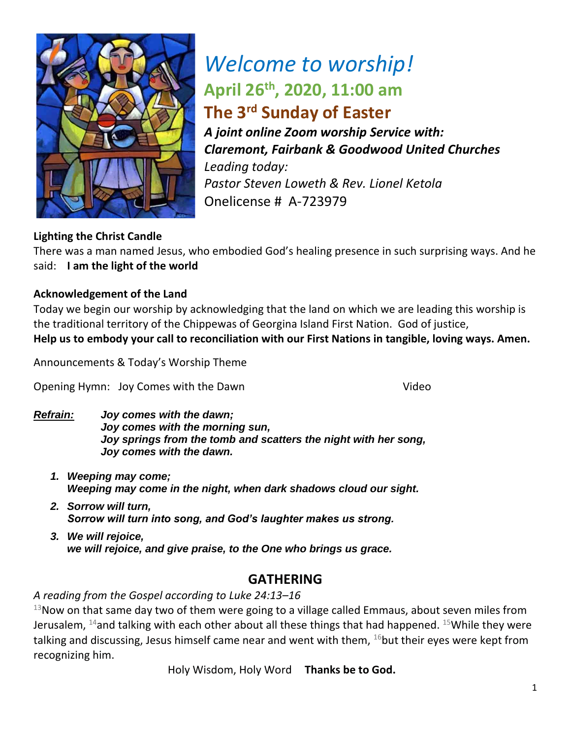

# *Welcome to worship!* **April 26th, 2020, 11:00 am The 3rd Sunday of Easter**

*A joint online Zoom worship Service with: Claremont, Fairbank & Goodwood United Churches Leading today: Pastor Steven Loweth & Rev. Lionel Ketola* Onelicense # A-723979

# **Lighting the Christ Candle**

There was a man named Jesus, who embodied God's healing presence in such surprising ways. And he said: **I am the light of the world** 

## **Acknowledgement of the Land**

Today we begin our worship by acknowledging that the land on which we are leading this worship is the traditional territory of the Chippewas of Georgina Island First Nation. God of justice, **Help us to embody your call to reconciliation with our First Nations in tangible, loving ways. Amen.** 

Announcements & Today's Worship Theme

Opening Hymn: Joy Comes with the Dawn Video

- *Refrain: Joy comes with the dawn; Joy comes with the morning sun, Joy springs from the tomb and scatters the night with her song, Joy comes with the dawn.*
	- *1. Weeping may come; Weeping may come in the night, when dark shadows cloud our sight.*
	- *2. Sorrow will turn, Sorrow will turn into song, and God's laughter makes us strong.*
	- *3. We will rejoice, we will rejoice, and give praise, to the One who brings us grace.*

# **GATHERING**

*A reading from the Gospel according to Luke 24:13–16*

 $13$ Now on that same day two of them were going to a village called Emmaus, about seven miles from Jerusalem,  $^{14}$ and talking with each other about all these things that had happened.  $^{15}$ While they were talking and discussing, Jesus himself came near and went with them,  $^{16}$ but their eyes were kept from recognizing him.

Holy Wisdom, Holy Word **Thanks be to God.**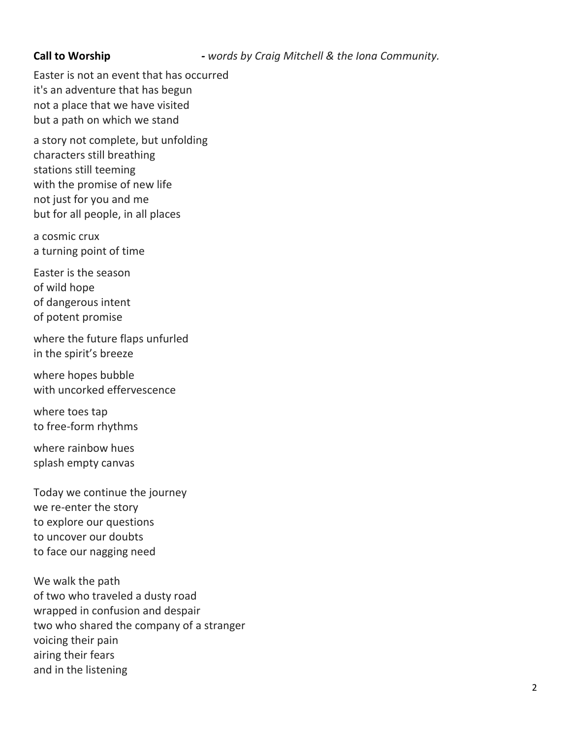#### **Call to Worship** *- words by Craig Mitchell & the Iona Community.*

Easter is not an event that has occurred it's an adventure that has begun not a place that we have visited but a path on which we stand

a story not complete, but unfolding characters still breathing stations still teeming with the promise of new life not just for you and me but for all people, in all places

a cosmic crux a turning point of time

Easter is the season of wild hope of dangerous intent of potent promise

where the future flaps unfurled in the spirit's breeze

where hopes bubble with uncorked effervescence

where toes tap to free-form rhythms

where rainbow hues splash empty canvas

Today we continue the journey we re-enter the story to explore our questions to uncover our doubts to face our nagging need

We walk the path of two who traveled a dusty road wrapped in confusion and despair two who shared the company of a stranger voicing their pain airing their fears and in the listening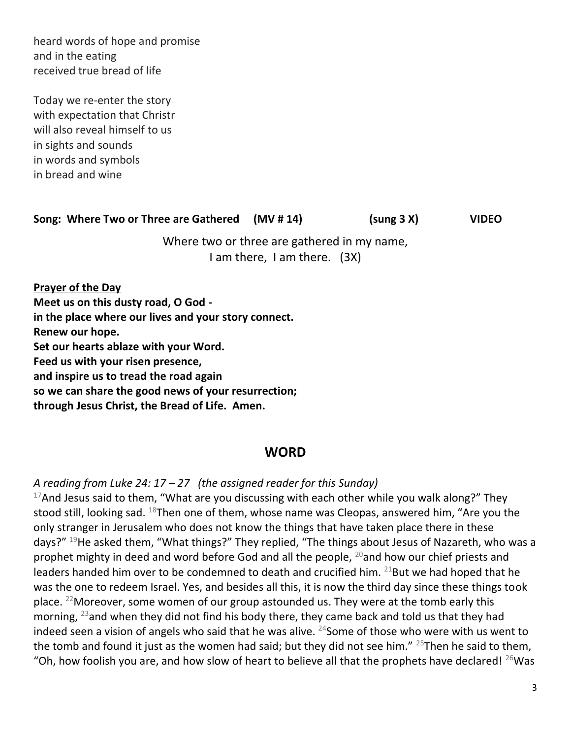heard words of hope and promise and in the eating received true bread of life

Today we re-enter the story with expectation that Christr will also reveal himself to us in sights and sounds in words and symbols in bread and wine

### **Song: Where Two or Three are Gathered (MV # 14) (sung 3 X) VIDEO**

Where two or three are gathered in my name, I am there, I am there. (3X)

**Prayer of the Day Meet us on this dusty road, O God in the place where our lives and your story connect. Renew our hope. Set our hearts ablaze with your Word. Feed us with your risen presence, and inspire us to tread the road again so we can share the good news of your resurrection; through Jesus Christ, the Bread of Life. Amen.** 

### **WORD**

*A reading from Luke 24: 17 – 27 (the assigned reader for this Sunday)*

 $17$ And Jesus said to them, "What are you discussing with each other while you walk along?" They stood still, looking sad. <sup>18</sup>Then one of them, whose name was Cleopas, answered him, "Are you the only stranger in Jerusalem who does not know the things that have taken place there in these days?"<sup>19</sup>He asked them, "What things?" They replied, "The things about Jesus of Nazareth, who was a prophet mighty in deed and word before God and all the people,  $^{20}$  and how our chief priests and leaders handed him over to be condemned to death and crucified him.  $^{21}$ But we had hoped that he was the one to redeem Israel. Yes, and besides all this, it is now the third day since these things took place. <sup>22</sup>Moreover, some women of our group astounded us. They were at the tomb early this morning,  $^{23}$  and when they did not find his body there, they came back and told us that they had indeed seen a vision of angels who said that he was alive.  $24$ Some of those who were with us went to the tomb and found it just as the women had said; but they did not see him."  $25$ Then he said to them, "Oh, how foolish you are, and how slow of heart to believe all that the prophets have declared!  $^{26}$ Was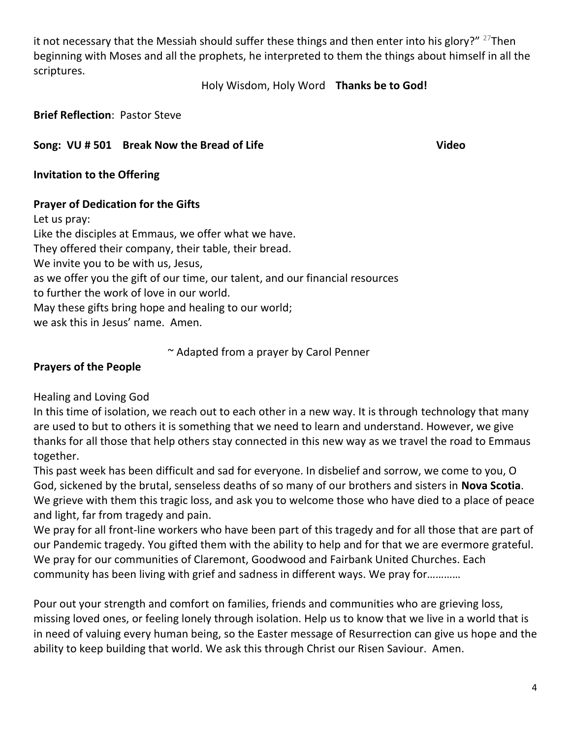it not necessary that the Messiah should suffer these things and then enter into his glory?"  $^{27}$ Then beginning with Moses and all the prophets, he interpreted to them the things about himself in all the scriptures.

#### Holy Wisdom, Holy Word **Thanks be to God!**

**Brief Reflection**: Pastor Steve

## Song: VU # 501 Break Now the Bread of Life **Video Video**

**Invitation to the Offering** 

## **Prayer of Dedication for the Gifts**

Let us pray:

Like the disciples at Emmaus, we offer what we have. They offered their company, their table, their bread. We invite you to be with us, Jesus, as we offer you the gift of our time, our talent, and our financial resources to further the work of love in our world. May these gifts bring hope and healing to our world; we ask this in Jesus' name. Amen.

~ Adapted from a prayer by Carol Penner

## **Prayers of the People**

Healing and Loving God

In this time of isolation, we reach out to each other in a new way. It is through technology that many are used to but to others it is something that we need to learn and understand. However, we give thanks for all those that help others stay connected in this new way as we travel the road to Emmaus together.

This past week has been difficult and sad for everyone. In disbelief and sorrow, we come to you, O God, sickened by the brutal, senseless deaths of so many of our brothers and sisters in **Nova Scotia**. We grieve with them this tragic loss, and ask you to welcome those who have died to a place of peace and light, far from tragedy and pain.

We pray for all front-line workers who have been part of this tragedy and for all those that are part of our Pandemic tragedy. You gifted them with the ability to help and for that we are evermore grateful. We pray for our communities of Claremont, Goodwood and Fairbank United Churches. Each community has been living with grief and sadness in different ways. We pray for…………

Pour out your strength and comfort on families, friends and communities who are grieving loss, missing loved ones, or feeling lonely through isolation. Help us to know that we live in a world that is in need of valuing every human being, so the Easter message of Resurrection can give us hope and the ability to keep building that world. We ask this through Christ our Risen Saviour. Amen.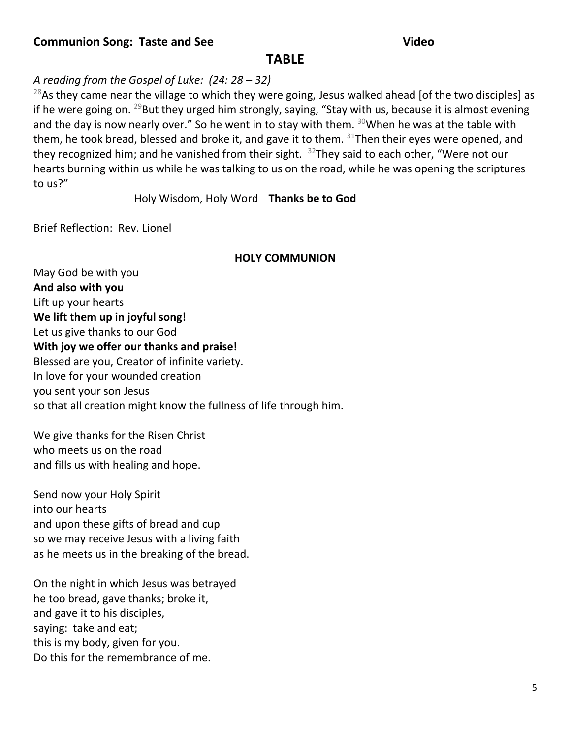### **Communion Song: Taste and See Video**

# **TABLE**

## *A reading from the Gospel of Luke: (24: 28 – 32)*

<sup>28</sup>As they came near the village to which they were going, Jesus walked ahead [of the two disciples] as if he were going on.  $^{29}$ But they urged him strongly, saying, "Stay with us, because it is almost evening and the day is now nearly over." So he went in to stay with them.  $30$ When he was at the table with them, he took bread, blessed and broke it, and gave it to them.  $31$ Then their eyes were opened, and they recognized him; and he vanished from their sight.  $32$ They said to each other, "Were not our hearts burning within us while he was talking to us on the road, while he was opening the scriptures to us?"

Holy Wisdom, Holy Word **Thanks be to God** 

Brief Reflection: Rev. Lionel

#### **HOLY COMMUNION**

May God be with you **And also with you** Lift up your hearts **We lift them up in joyful song!**  Let us give thanks to our God **With joy we offer our thanks and praise!**  Blessed are you, Creator of infinite variety. In love for your wounded creation you sent your son Jesus so that all creation might know the fullness of life through him.

We give thanks for the Risen Christ who meets us on the road and fills us with healing and hope.

Send now your Holy Spirit into our hearts and upon these gifts of bread and cup so we may receive Jesus with a living faith as he meets us in the breaking of the bread.

On the night in which Jesus was betrayed he too bread, gave thanks; broke it, and gave it to his disciples, saying: take and eat; this is my body, given for you. Do this for the remembrance of me.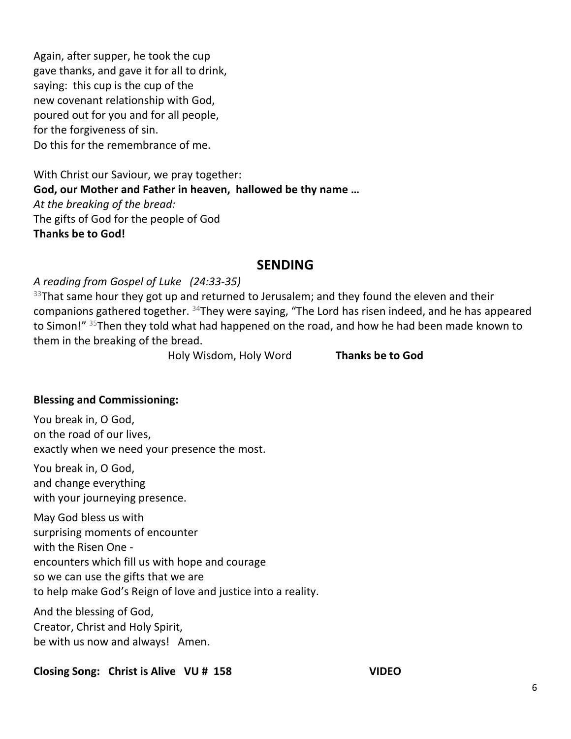Again, after supper, he took the cup gave thanks, and gave it for all to drink, saying: this cup is the cup of the new covenant relationship with God, poured out for you and for all people, for the forgiveness of sin. Do this for the remembrance of me.

With Christ our Saviour, we pray together: **God, our Mother and Father in heaven, hallowed be thy name …**  *At the breaking of the bread:*  The gifts of God for the people of God **Thanks be to God!** 

# **SENDING**

### *A reading from Gospel of Luke (24:33-35)*

 $33$ That same hour they got up and returned to Jerusalem; and they found the eleven and their companions gathered together. <sup>34</sup>They were saying, "The Lord has risen indeed, and he has appeared to Simon!" <sup>35</sup>Then they told what had happened on the road, and how he had been made known to them in the breaking of the bread.

Holy Wisdom, Holy Word **Thanks be to God** 

### **Blessing and Commissioning:**

You break in, O God, on the road of our lives, exactly when we need your presence the most.

You break in, O God, and change everything with your journeying presence.

May God bless us with surprising moments of encounter with the Risen One encounters which fill us with hope and courage so we can use the gifts that we are to help make God's Reign of love and justice into a reality.

And the blessing of God, Creator, Christ and Holy Spirit, be with us now and always! Amen.

### **Closing Song: Christ is Alive VU # 158 VIDEO**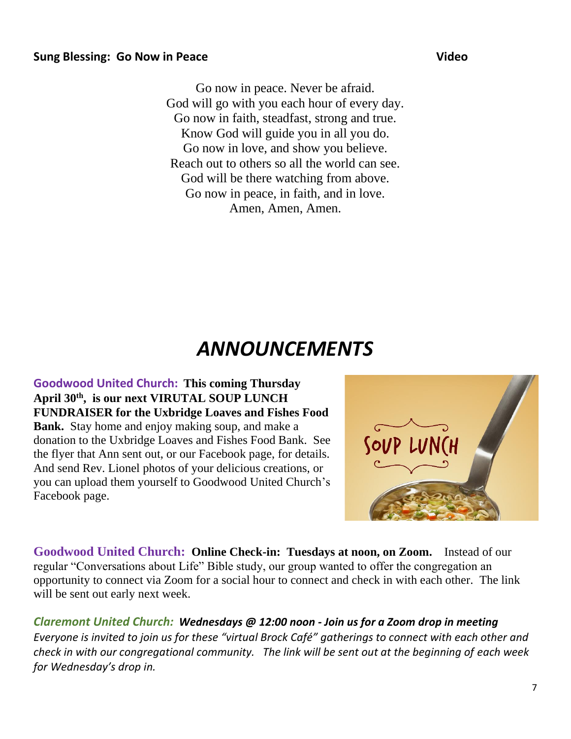Go now in peace. Never be afraid. God will go with you each hour of every day. Go now in faith, steadfast, strong and true. Know God will guide you in all you do. Go now in love, and show you believe. Reach out to others so all the world can see. God will be there watching from above. Go now in peace, in faith, and in love. Amen, Amen, Amen.

# *ANNOUNCEMENTS*

**Goodwood United Church:****This coming Thursday April 30th , is our next VIRUTAL SOUP LUNCH FUNDRAISER for the Uxbridge Loaves and Fishes Food Bank.** Stay home and enjoy making soup, and make a donation to the Uxbridge Loaves and Fishes Food Bank. See the flyer that Ann sent out, or our Facebook page, for details. And send Rev. Lionel photos of your delicious creations, or you can upload them yourself to Goodwood United Church's Facebook page.

**Goodwood United Church: Online Check-in: Tuesdays at noon, on Zoom.** Instead of our regular "Conversations about Life" Bible study, our group wanted to offer the congregation an opportunity to connect via Zoom for a social hour to connect and check in with each other. The link will be sent out early next week.

*Claremont United Church: Wednesdays @ 12:00 noon - Join us for a Zoom drop in meeting Everyone is invited to join us for these "virtual Brock Café" gatherings to connect with each other and check in with our congregational community. The link will be sent out at the beginning of each week for Wednesday's drop in.*